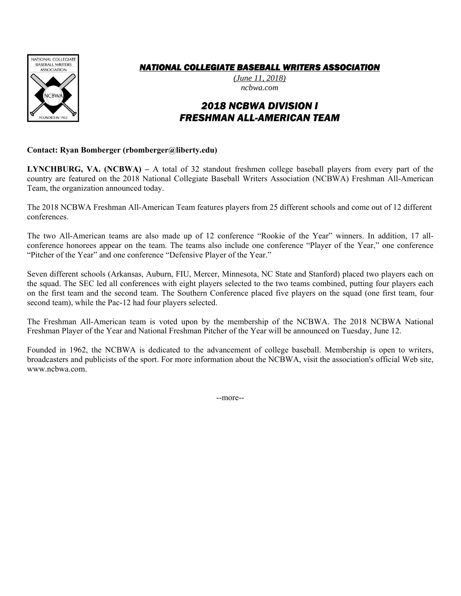

## *NATIONAL COLLEGIATE BASEBALL WRITERS ASSOCIATION*

*(June 11, 2018) ncbwa.com* 

# *2018 NCBWA DIVISION I FRESHMAN ALL-AMERICAN TEAM*

#### **Contact: Ryan Bomberger (rbomberger@liberty.edu)**

**LYNCHBURG, VA. (NCBWA) –** A total of 32 standout freshmen college baseball players from every part of the country are featured on the 2018 National Collegiate Baseball Writers Association (NCBWA) Freshman All-American Team, the organization announced today.

The 2018 NCBWA Freshman All-American Team features players from 25 different schools and come out of 12 different conferences.

The two All-American teams are also made up of 12 conference "Rookie of the Year" winners. In addition, 17 allconference honorees appear on the team. The teams also include one conference "Player of the Year," one conference "Pitcher of the Year" and one conference "Defensive Player of the Year."

Seven different schools (Arkansas, Auburn, FIU, Mercer, Minnesota, NC State and Stanford) placed two players each on the squad. The SEC led all conferences with eight players selected to the two teams combined, putting four players each on the first team and the second team. The Southern Conference placed five players on the squad (one first team, four second team), while the Pac-12 had four players selected.

The Freshman All-American team is voted upon by the membership of the NCBWA. The 2018 NCBWA National Freshman Player of the Year and National Freshman Pitcher of the Year will be announced on Tuesday, June 12.

Founded in 1962, the NCBWA is dedicated to the advancement of college baseball. Membership is open to writers, broadcasters and publicists of the sport. For more information about the NCBWA, visit the association's official Web site, www.ncbwa.com.

--more--